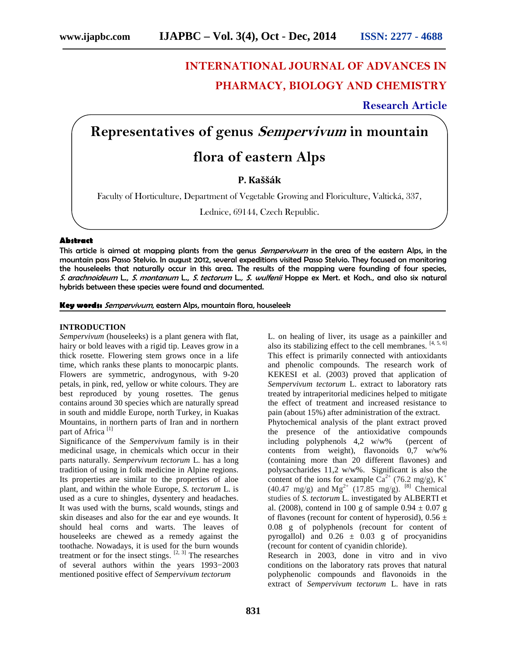# **INTERNATIONAL JOURNAL OF ADVANCES IN PHARMACY, BIOLOGY AND CHEMISTRY**

**Research Article**

# **Representatives of genus** *Sempervivum* **in mountain**

# **flora of eastern Alps**

**P. Kaššák**

Faculty of Horticulture, Department of Vegetable Growing and Floriculture, Valtická, 337,

Lednice, 69144, Czech Republic.

# **Abstract**

This article is aimed at mapping plants from the genus *Sempervivum* in the area of the eastern Alps, in the mountain pass Passo Stelvio. In august 2012, several expeditions visited Passo Stelvio. They focused on monitoring the houseleeks that naturally occur in this area. The results of the mapping were founding of four species, *S. arachnoideum* L., *S. montanum* L., *S. tectorum* L.*, S. wulfenii* Hoppe ex Mert. et Koch., and also six natural hybrids between these species were found and documented.

**Key words:** *Sempervivum*, eastern Alps, mountain flora, houseleek

#### **INTRODUCTION**

*Sempervivum* (houseleeks) is a plant genera with flat, hairy or bold leaves with a rigid tip. Leaves grow in a thick rosette. Flowering stem grows once in a life time, which ranks these plants to monocarpic plants. Flowers are symmetric, androgynous, with 9-20 petals, in pink, red, yellow or white colours. They are best reproduced by young rosettes. The genus contains around 30 species which are naturally spread in south and middle Europe, north Turkey, in Kuakas Mountains, in northern parts of Iran and in northern part of Africa<sup>[1]</sup>

Significance of the *Sempervivum* family is in their medicinal usage, in chemicals which occur in their parts naturally. *Sempervivum tectorum* L. has a long tradition of using in folk medicine in Alpine regions. Its properties are similar to the properties of aloe plant, and within the whole Europe, *S. tectorum* L. is used as a cure to shingles, dysentery and headaches. It was used with the burns, scald wounds, stings and skin diseases and also for the ear and eye wounds. It should heal corns and warts. The leaves of houseleeks are chewed as a remedy against the toothache. Nowadays, it is used for the burn wounds treatment or for the insect stings.  $[2, 3]$  The researches of several authors within the years 1993−2003 mentioned positive effect of *Sempervivum tectorum*

L. on healing of liver, its usage as a painkiller and also its stabilizing effect to the cell membranes.  $[4, 5, 6]$ This effect is primarily connected with antioxidants and phenolic compounds. The research work of KEKESI et al. (2003) proved that application of *Sempervivum tectorum* L. extract to laboratory rats treated by intraperitorial medicines helped to mitigate the effect of treatment and increased resistance to pain (about 15%) after administration of the extract. Phytochemical analysis of the plant extract proved the presence of the antioxidative compounds

including polyphenols 4,2 w/w% (percent of contents from weight), flavonoids 0,7 w/w% (containing more than 20 different flavones) and polysaccharides 11,2 w/w%. Significant is also the content of the ions for example  $Ca^{2+}$  (76.2 mg/g),  $K^+$  $(40.47 \text{ mg/g})$  and  $\text{Mg}^{2+}$   $(17.85 \text{ mg/g})$ . <sup>[8]</sup> Chemical studies of *S. tectorum* L. investigated by ALBERTI et al. (2008), contend in 100 g of sample  $0.94 \pm 0.07$  g of flavones (recount for content of hyperosid),  $0.56 \pm$ 0.08 g of polyphenols (recount for content of pyrogallol) and  $0.26 \pm 0.03$  g of procyanidins (recount for content of cyanidin chloride).

Research in 2003, done in vitro and in vivo conditions on the laboratory rats proves that natural polyphenolic compounds and flavonoids in the extract of *Sempervivum tectorum* L. have in rats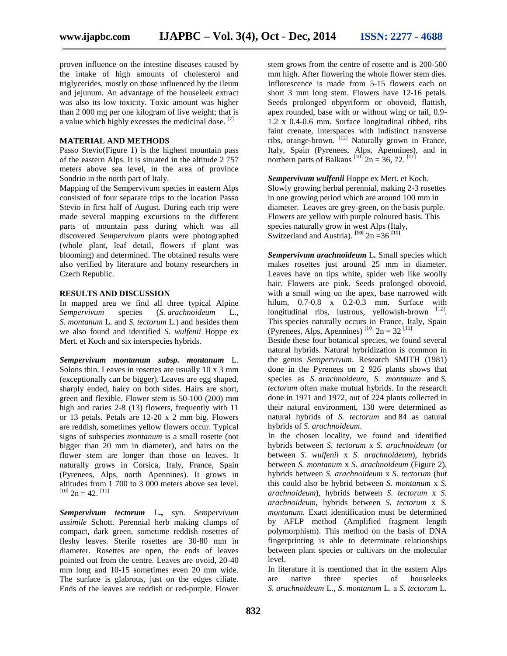proven influence on the intestine diseases caused by the intake of high amounts of cholesterol and triglycerides, mostly on those influenced by the ileum and jejunum. An advantage of the houseleek extract was also its low toxicity. Toxic amount was higher than 2 000 mg per one kilogram of live weight; that is a value which highly excesses the medicinal dose.<sup>[7]</sup>

### **MATERIAL AND METHODS**

Passo Stevio(Figure 1) is the highest mountain pass of the eastern Alps. It is situated in the altitude 2 757 meters above sea level, in the area of province Sondrio in the north part of Italy.

Mapping of the Sempervivum species in eastern Alps consisted of four separate trips to the location Passo Stevio in first half of August. During each trip were made several mapping excursions to the different parts of mountain pass during which was all discovered *Sempervivum* plants were photographed (whole plant, leaf detail, flowers if plant was blooming) and determined. The obtained results were also verified by literature and botany researchers in Czech Republic.

#### **RESULTS AND DISCUSSION**

In mapped area we find all three typical Alpine *Sempervivum* species (*S. arachnoideum* L., *S. montanum* L. and *S. tectorum* L.) and besides them we also found and identified *S. wulfenii* Hoppe ex Mert. et Koch and six interspecies hybrids*.*

*Sempervivum montanum subsp. montanum* L. Solons thin. Leaves in rosettes are usually 10 x 3 mm (exceptionally can be bigger). Leaves are egg shaped, sharply ended, hairy on both sides. Hairs are short, green and flexible. Flower stem is 50-100 (200) mm high and caries 2-8 (13) flowers, frequently with 11 or 13 petals. Petals are 12-20 x 2 mm big. Flowers are reddish, sometimes yellow flowers occur. Typical signs of subspecies *montanum* is a small rosette (not bigger than 20 mm in diameter), and hairs on the flower stem are longer than those on leaves. It naturally grows in Corsica, Italy, France, Spain (Pyrenees, Alps, north Apennines). It grows in altitudes from 1 700 to 3 000 meters above sea level.  $^{[10]}$  2n = 42.  $^{[11]}$ 

*Sempervivum tectorum* L**.,** syn. *Sempervivum assimile* Schott. Perennial herb making clumps of compact, dark green, sometime reddish rosettes of fleshy leaves. Sterile rosettes are 30-80 mm in diameter. Rosettes are open, the ends of leaves pointed out from the centre. Leaves are ovoid, 20-40 mm long and 10-15 sometimes even 20 mm wide. The surface is glabrous, just on the edges ciliate. Ends of the leaves are reddish or red-purple. Flower

stem grows from the centre of rosette and is 200-500 mm high. After flowering the whole flower stem dies. Inflorescence is made from 5-15 flowers each on short 3 mm long stem. Flowers have 12-16 petals. Seeds prolonged obpyriform or obovoid, flattish, apex rounded, base with or without wing or tail, 0.9- 1.2 x 0.4-0.6 mm. Surface longitudinal ribbed, ribs faint crenate, interspaces with indistinct transverse ribs, orange-brown. [12] Naturally grown in France, Italy, Spain (Pyrenees, Alps, Apennines), and in northern parts of Balkans<sup>[10]</sup>  $2n = 36, 72$ .<sup>[11]</sup>

*Sempervivum wulfenii* Hoppe ex Mert. et Koch. Slowly growing herbal perennial, making 2-3 rosettes in one growing period which are around 100 mm in diameter. Leaves are grey-green, on the basis purple. Flowers are yellow with purple coloured basis. This species naturally grow in west Alps (Italy, Switzerland and Austria).  $\left[10\right]$  2n = 36  $\left[11\right]$ 

*Sempervivum arachnoideum* L**.** Small species which makes rosettes just around 25 mm in diameter. Leaves have on tips white, spider web like woolly hair. Flowers are pink. Seeds prolonged obovoid, with a small wing on the apex, base narrowed with hilum, 0.7-0.8 x 0.2-0.3 mm. Surface with longitudinal ribs, lustrous, yellowish-brown [12]. This species naturally occurs in France, Italy, Spain (Pyrenees, Alps, Apennines)<sup>[10]</sup>  $2n = 32$ <sup>[11]</sup>

Beside these four botanical species, we found several natural hybrids. Natural hybridization is common in the genus *Sempervivum*. Research SMITH (1981) done in the Pyrenees on 2 926 plants shows that species as *S. arachnoideum, S. montanum* and *S. tectorum* often make mutual hybrids. In the research done in 1971 and 1972, out of 224 plants collected in their natural environment, 138 were determined as natural hybrids of *S. tectorum* and 84 as natural hybrids of *S. arachnoideum*.

In the chosen locality, we found and identified hybrids between *S. tectorum* x *S. arachnoideum* (or between *S. wulfenii* x *S. arachnoideum*), hybrids between *S. montanum* x *S. arachnoideum* (Figure 2)*,* hybrids between *S. arachnoideum* x *S. tectorum* (but this could also be hybrid between *S. montanum* x *S. arachnoideum*), hybrids between *S. tectorum* x *S. arachnoideum*, hybrids between *S. tectorum* x *S. montanum.* Exact identification must be determined by AFLP method (Amplified fragment length polymorphism). This method on the basis of DNA fingerprinting is able to determinate relationships between plant species or cultivars on the molecular level.

In literature it is mentioned that in the eastern Alps are native three species of houseleeks *S. arachnoideum* L*.*, *S. montanum* L. a *S. tectorum* L*.*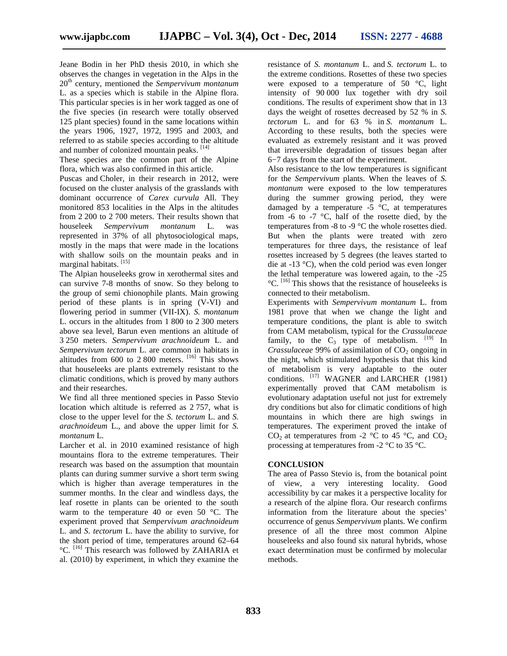Jeane Bodin in her PhD thesis 2010, in which she observes the changes in vegetation in the Alps in the 20th century, mentioned the *Sempervivum montanum* L. as a species which is stabile in the Alpine flora. This particular species is in her work tagged as one of the five species (in research were totally observed 125 plant species) found in the same locations within the years 1906, 1927, 1972, 1995 and 2003, and referred to as stabile species according to the altitude and number of colonized mountain peaks. [14]

These species are the common part of the Alpine flora, which was also confirmed in this article.

Puscas and Choler, in their research in 2012, were focused on the cluster analysis of the grasslands with dominant occurrence of *Carex curvula* All. They monitored 853 localities in the Alps in the altitudes from 2 200 to 2 700 meters. Their results shown that houseleek *Sempervivum montanum* L. was represented in 37% of all phytosociological maps, mostly in the maps that were made in the locations with shallow soils on the mountain peaks and in marginal habitats. [15]

The Alpian houseleeks grow in xerothermal sites and can survive 7-8 months of snow. So they belong to the group of semi chionophile plants. Main growing period of these plants is in spring (V-VI) and flowering period in summer (VII-IX). *S. montanum* L. occurs in the altitudes from 1 800 to 2 300 meters above sea level, Barun even mentions an altitude of 3 250 meters. *Sempervivum arachnoideum* L. and *Sempervivum tectorum* L. are common in habitats in altitudes from  $600$  to  $2800$  meters.  $\left[16\right]$  This shows that houseleeks are plants extremely resistant to the climatic conditions, which is proved by many authors and their researches.

We find all three mentioned species in Passo Stevio location which altitude is referred as 2 757, what is close to the upper level for the *S. tectorum* L. and *S. arachnoideum* L., and above the upper limit for *S. montanum* L.

Larcher et al. in 2010 examined resistance of high mountains flora to the extreme temperatures. Their research was based on the assumption that mountain plants can during summer survive a short term swing which is higher than average temperatures in the summer months. In the clear and windless days, the leaf rosette in plants can be oriented to the south warm to the temperature 40 or even 50 °C. The experiment proved that *Sempervivum arachnoideum* L. and *S. tectorum* L. have the ability to survive, for the short period of time, temperatures around 62–64 <sup>o</sup>C. <sup>[16]</sup> This research was followed by ZAHARIA et al. (2010) by experiment, in which they examine the

resistance of *S. montanum* L. and *S. tectorum* L. to the extreme conditions. Rosettes of these two species were exposed to a temperature of 50  $\degree$ C, light intensity of 90 000 lux together with dry soil conditions. The results of experiment show that in 13 days the weight of rosettes decreased by 52 % in *S. tectorum* L. and for 63 % in *S. montanum* L. According to these results, both the species were evaluated as extremely resistant and it was proved that irreversible degradation of tissues began after 6−7 days from the start of the experiment.

Also resistance to the low temperatures is significant for the *Sempervivum* plants. When the leaves of *S. montanum* were exposed to the low temperatures during the summer growing period, they were damaged by a temperature  $-5$  °C, at temperatures from  $-6$  to  $-7$  °C, half of the rosette died, by the temperatures from -8 to -9 °C the whole rosettes died. But when the plants were treated with zero temperatures for three days, the resistance of leaf rosettes increased by 5 degrees (the leaves started to die at -13 °C), when the cold period was even longer the lethal temperature was lowered again, to the -25 °C. [16] This shows that the resistance of houseleeks is connected to their metabolism.

Experiments with *Sempervivum montanum* L. from 1981 prove that when we change the light and temperature conditions, the plant is able to switch from CAM metabolism, typical for the *Crassulaceae* family, to the  $C_3$  type of metabolism.  $[19]$  In *Crassulaceae* 99% of assimilation of CO<sub>2</sub> ongoing in the night, which stimulated hypothesis that this kind of metabolism is very adaptable to the outer conditions. [17] WAGNER and LARCHER (1981) experimentally proved that CAM metabolism is evolutionary adaptation useful not just for extremely dry conditions but also for climatic conditions of high mountains in which there are high swings in temperatures. The experiment proved the intake of CO<sub>2</sub> at temperatures from -2  $\degree$ C to 45  $\degree$ C, and CO<sub>2</sub> processing at temperatures from -2 °C to 35 °C.

### **CONCLUSION**

The area of Passo Stevio is, from the botanical point of view, a very interesting locality. Good accessibility by car makes it a perspective locality for a research of the alpine flora. Our research confirms information from the literature about the species' occurrence of genus *Sempervivum* plants. We confirm presence of all the three most common Alpine houseleeks and also found six natural hybrids, whose exact determination must be confirmed by molecular methods.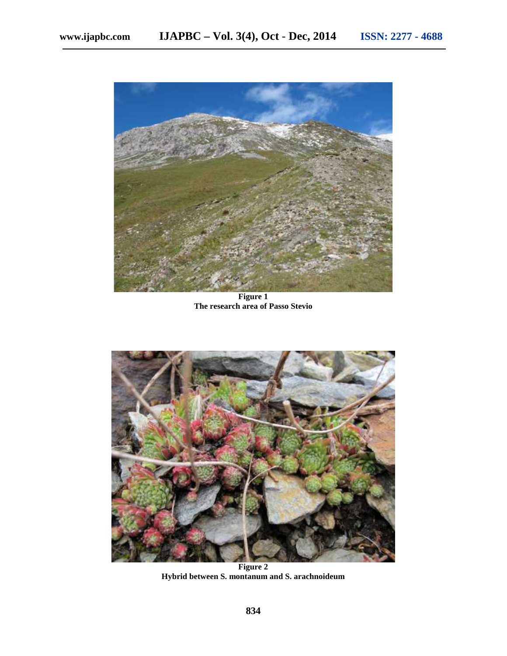

**Figure 1 The research area of Passo Stevio**



**Figure 2 Hybrid between S. montanum and S. arachnoideum**